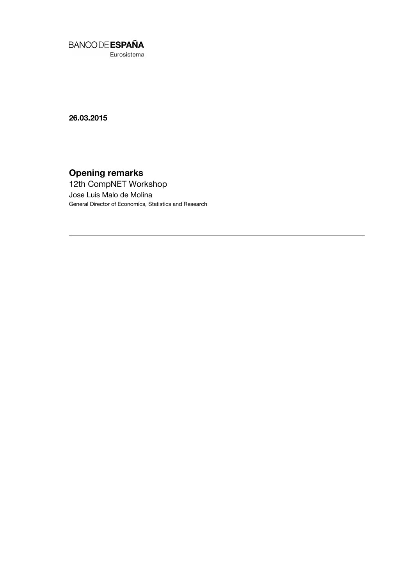

Eurosistema

26.03.2015

# Opening remarks

12th CompNET Workshop Jose Luis Malo de Molina General Director of Economics, Statistics and Research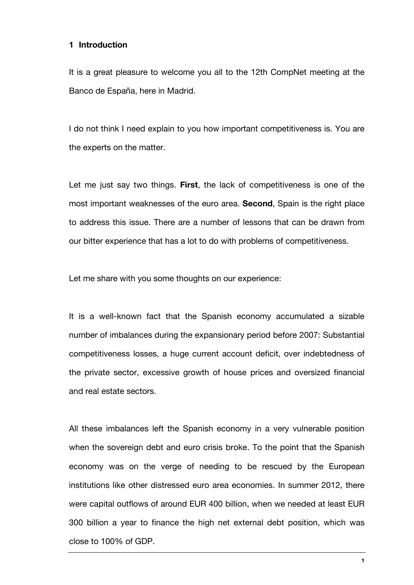## 1 Introduction

It is a great pleasure to welcome you all to the 12th CompNet meeting at the Banco de España, here in Madrid.

I do not think I need explain to you how important competitiveness is. You are the experts on the matter.

Let me just say two things. First, the lack of competitiveness is one of the most important weaknesses of the euro area. Second, Spain is the right place to address this issue. There are a number of lessons that can be drawn from our bitter experience that has a lot to do with problems of competitiveness.

Let me share with you some thoughts on our experience:

It is a well-known fact that the Spanish economy accumulated a sizable number of imbalances during the expansionary period before 2007: Substantial competitiveness losses, a huge current account deficit, over indebtedness of the private sector, excessive growth of house prices and oversized financial and real estate sectors.

All these imbalances left the Spanish economy in a very vulnerable position when the sovereign debt and euro crisis broke. To the point that the Spanish economy was on the verge of needing to be rescued by the European institutions like other distressed euro area economies. In summer 2012, there were capital outflows of around EUR 400 billion, when we needed at least EUR 300 billion a year to finance the high net external debt position, which was close to 100% of GDP.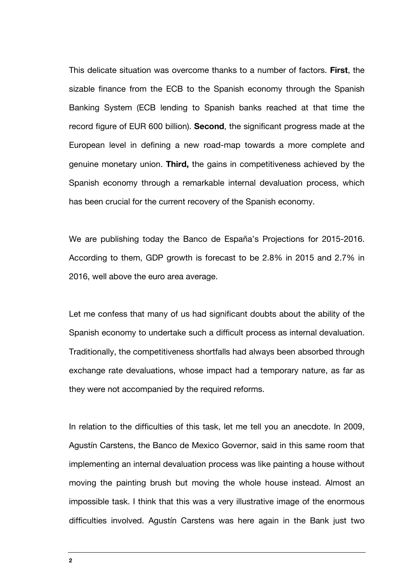This delicate situation was overcome thanks to a number of factors. First, the sizable finance from the ECB to the Spanish economy through the Spanish Banking System (ECB lending to Spanish banks reached at that time the record figure of EUR 600 billion). Second, the significant progress made at the European level in defining a new road-map towards a more complete and genuine monetary union. Third, the gains in competitiveness achieved by the Spanish economy through a remarkable internal devaluation process, which has been crucial for the current recovery of the Spanish economy.

We are publishing today the Banco de España's Projections for 2015-2016. According to them, GDP growth is forecast to be 2.8% in 2015 and 2.7% in 2016, well above the euro area average.

Let me confess that many of us had significant doubts about the ability of the Spanish economy to undertake such a difficult process as internal devaluation. Traditionally, the competitiveness shortfalls had always been absorbed through exchange rate devaluations, whose impact had a temporary nature, as far as they were not accompanied by the required reforms.

In relation to the difficulties of this task, let me tell you an anecdote. In 2009, Agustín Carstens, the Banco de Mexico Governor, said in this same room that implementing an internal devaluation process was like painting a house without moving the painting brush but moving the whole house instead. Almost an impossible task. I think that this was a very illustrative image of the enormous difficulties involved. Agustín Carstens was here again in the Bank just two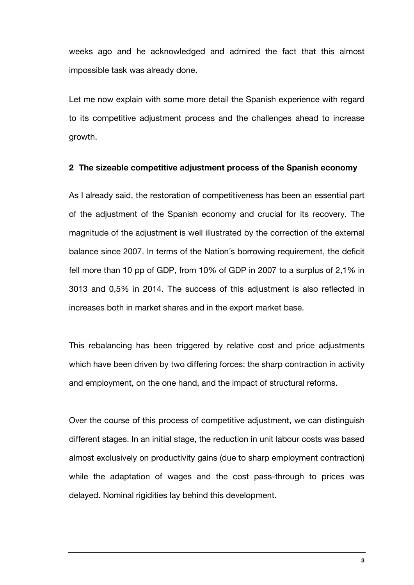weeks ago and he acknowledged and admired the fact that this almost impossible task was already done.

Let me now explain with some more detail the Spanish experience with regard to its competitive adjustment process and the challenges ahead to increase growth.

## 2 The sizeable competitive adjustment process of the Spanish economy

As I already said, the restoration of competitiveness has been an essential part of the adjustment of the Spanish economy and crucial for its recovery. The magnitude of the adjustment is well illustrated by the correction of the external balance since 2007. In terms of the Nation´s borrowing requirement, the deficit fell more than 10 pp of GDP, from 10% of GDP in 2007 to a surplus of 2,1% in 3013 and 0,5% in 2014. The success of this adjustment is also reflected in increases both in market shares and in the export market base.

This rebalancing has been triggered by relative cost and price adjustments which have been driven by two differing forces: the sharp contraction in activity and employment, on the one hand, and the impact of structural reforms.

Over the course of this process of competitive adjustment, we can distinguish different stages. In an initial stage, the reduction in unit labour costs was based almost exclusively on productivity gains (due to sharp employment contraction) while the adaptation of wages and the cost pass-through to prices was delayed. Nominal rigidities lay behind this development.

<u>33 and 2001 and 2002 and 2003 and 2003 and 2003 and 2003 and 2003 and 2003 and 2003 and 2003 and 2003 and 200</u>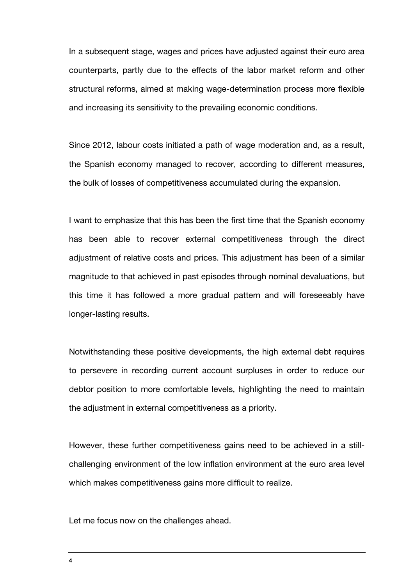In a subsequent stage, wages and prices have adjusted against their euro area counterparts, partly due to the effects of the labor market reform and other structural reforms, aimed at making wage-determination process more flexible and increasing its sensitivity to the prevailing economic conditions.

Since 2012, labour costs initiated a path of wage moderation and, as a result, the Spanish economy managed to recover, according to different measures, the bulk of losses of competitiveness accumulated during the expansion.

I want to emphasize that this has been the first time that the Spanish economy has been able to recover external competitiveness through the direct adjustment of relative costs and prices. This adjustment has been of a similar magnitude to that achieved in past episodes through nominal devaluations, but this time it has followed a more gradual pattern and will foreseeably have longer-lasting results.

Notwithstanding these positive developments, the high external debt requires to persevere in recording current account surpluses in order to reduce our debtor position to more comfortable levels, highlighting the need to maintain the adjustment in external competitiveness as a priority.

However, these further competitiveness gains need to be achieved in a stillchallenging environment of the low inflation environment at the euro area level which makes competitiveness gains more difficult to realize.

Let me focus now on the challenges ahead.

4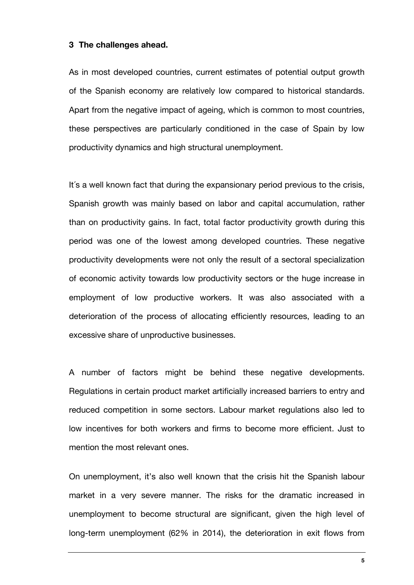#### 3 The challenges ahead.

As in most developed countries, current estimates of potential output growth of the Spanish economy are relatively low compared to historical standards. Apart from the negative impact of ageing, which is common to most countries, these perspectives are particularly conditioned in the case of Spain by low productivity dynamics and high structural unemployment.

It´s a well known fact that during the expansionary period previous to the crisis, Spanish growth was mainly based on labor and capital accumulation, rather than on productivity gains. In fact, total factor productivity growth during this period was one of the lowest among developed countries. These negative productivity developments were not only the result of a sectoral specialization of economic activity towards low productivity sectors or the huge increase in employment of low productive workers. It was also associated with a deterioration of the process of allocating efficiently resources, leading to an excessive share of unproductive businesses.

A number of factors might be behind these negative developments. Regulations in certain product market artificially increased barriers to entry and reduced competition in some sectors. Labour market regulations also led to low incentives for both workers and firms to become more efficient. Just to mention the most relevant ones.

On unemployment, it's also well known that the crisis hit the Spanish labour market in a very severe manner. The risks for the dramatic increased in unemployment to become structural are significant, given the high level of long-term unemployment (62% in 2014), the deterioration in exit flows from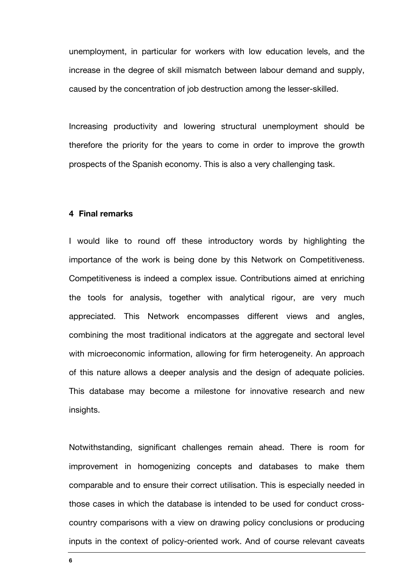unemployment, in particular for workers with low education levels, and the increase in the degree of skill mismatch between labour demand and supply, caused by the concentration of job destruction among the lesser-skilled.

Increasing productivity and lowering structural unemployment should be therefore the priority for the years to come in order to improve the growth prospects of the Spanish economy. This is also a very challenging task.

#### 4 Final remarks

I would like to round off these introductory words by highlighting the importance of the work is being done by this Network on Competitiveness. Competitiveness is indeed a complex issue. Contributions aimed at enriching the tools for analysis, together with analytical rigour, are very much appreciated. This Network encompasses different views and angles, combining the most traditional indicators at the aggregate and sectoral level with microeconomic information, allowing for firm heterogeneity. An approach of this nature allows a deeper analysis and the design of adequate policies. This database may become a milestone for innovative research and new insights.

Notwithstanding, significant challenges remain ahead. There is room for improvement in homogenizing concepts and databases to make them comparable and to ensure their correct utilisation. This is especially needed in those cases in which the database is intended to be used for conduct crosscountry comparisons with a view on drawing policy conclusions or producing inputs in the context of policy-oriented work. And of course relevant caveats

6